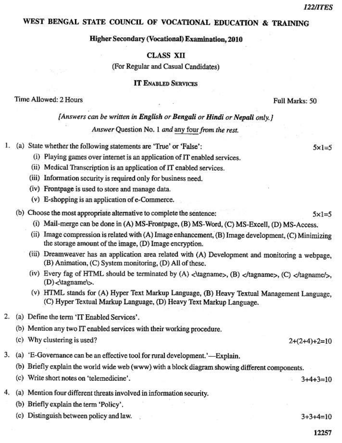$5x1=5$ 

# WEST BENGAL STATE COUNCIL OF VOCATIONAL EDUCATION & TRAINING

#### Higher Secondary (Vocational) Examination, 2010

### **CLASS XII**

(For Regular and Casual Candidates)

#### **IT ENABLED SERVICES**

Time Allowed: 2 Hours

Full Marks: 50

# [Answers can be written in English or Bengali or Hindi or Nepali only.]

Answer Question No. 1 and any four from the rest.

- 1. (a) State whether the following statements are "True" or 'False":
	- (i) Playing games over internet is an application of IT enabled services.
	- (ii) Medical Transcription is an application of IT enabled services.
	- (iii) Information security is required only for business need.
	- (iv) Frontpage is used to store and manage data.
	- (v) E-shopping is an application of e-Commerce.
	- (b) Choose the most appropriate alternative to complete the sentence:  $5 \times 1 = 5$ 
		- (i) Mail-merge can be done in (A) MS-Frontpage, (B) MS-Word, (C) MS-Excell, (D) MS-Access.
		- (ii) Image compression is related with (A) Image enhancement, (B) Image development, (C) Minimizing the storage amount of the image, (D) Image encryption.
		- (iii) Dreamweaver has an application area related with (A) Development and monitoring a webpage, (B) Animation, (C) System monitoring, (D) All of these.
		- (iv) Every fag of HTML should be terminated by (A) <\tagname>, (B) </tagname>, (C) </tagname/>,  $(D)$  < \tagname\s.
		- (v) HTML stands for (A) Hyper Text Markup Language, (B) Heavy Textual Management Language. (C) Hyper Textual Markup Language, (D) Heavy Text Markup Language.
- 2. (a) Define the term 'IT Enabled Services'.
	- (b) Mention any two IT enabled services with their working procedure.
	- (c) Why clustering is used?
- 3. (a) 'E-Governance can be an effective tool for rural development.'—Explain.
	- (b) Briefly explain the world wide web (www) with a block diagram showing different components.
	- (c) Write short notes on 'telemedicine'.
- 4. (a) Mention four different threats involved in information security.
	- (b) Briefly explain the term 'Policy'.
	- (c) Distinguish between policy and law.

 $3+3+4=10$ 

 $3+4+3=10$ 

 $2+(2+4)+2=10$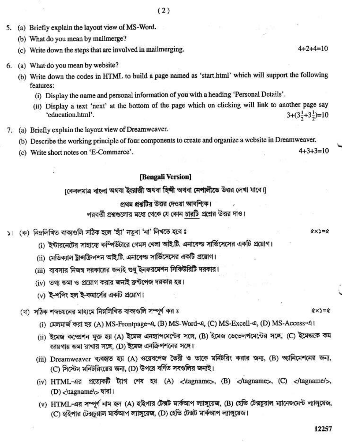- 5. (a) Briefly explain the layout view of MS-Word.
	- (b) What do you mean by mailmerge?
	- (c) Write down the steps that are involved in mailmerging.
- 6. (a) What do you mean by website?
	- (b) Write down the codes in HTML to build a page named as 'start.html' which will support the following features:
		- (i) Display the name and personal information of you with a heading 'Personal Details'.
		- (ii) Display a text 'next' at the bottom of the page which on clicking will link to another page say  $3+(3\frac{1}{2}+3\frac{1}{2})=10$ 'education.html'.
- 7. (a) Briefly explain the layout view of Dreamweaver.
	- (b) Describe the working principle of four components to create and organize a website in Dreamweaver.
	- (c) Write short notes on 'E-Commerce'.

# [Bengali Version]

[কেবলমাত্র বাংলা অথবা ইংরাজী অথবা হিন্দী অথবা নেপালীতে উত্তর লেখা যাবে।]

### পথম প্রশ্বটির উত্তর দেওয়া আবশিক।

পরবর্তী প্রশ্নগুলোর মধ্যে থেকে যে কোন চারটি প্রশ্নের উত্তর দাও।

- ১। (ক) নিম্নলিখিত বাক্যগুলি সঠিক হলে 'হাঁ' নতুবা 'না' লিখতে হবে ঃ
	- (i) ইন্টারনেটের সাহায্যে কম্পিউটারে গেমস খেলা আই.টি. এনাবেল্ড সার্ভিসেসের একটি প্রয়োগ।
	- (ii) মেডিক্যাল ট্রান্সক্রিপশন আই.টি. এনাবেল্ড সার্ভিসেসের একটি প্রয়োগ।
	- (iii) ব্যবসার নিজস্ব দরকারের জন্যই শুধু ইনফরমেশন সিকিউরিটি দরকার।
	- (iv) তথ্য জমা ও প্রয়োগ করার জন্যই ফ্রন্টপেজ দরকার হয়।
	- (v) ই-শপিং হল ই-কমার্সের একটি প্রয়োগ।

(খ) সঠিক শব্দচয়নের মাধ্যমে নিম্নলিখিত বাক্যগুলি সম্পূর্ণ কর ঃ

- (i) মেলমাৰ্জ করা হয় (A) MS-Frontpage-এ, (B) MS-Word-এ, (C) MS-Excell-এ, (D) MS-Access-এ।
- (ii) ইমেন্ধ কম্প্রেশন যুক্ত হয় (A) ইমেজ এনহান্সিমেন্টের সঙ্গে, (B) ইমেজ ডেভেলপমেন্টের সঙ্গে, (C) ইমেজকে কম জায়গায় জমা রাখার সঙ্গে, (D) ইমেজ এনক্রিপশনের সঙ্গে।
- (iii) Dreamweaver ব্যবহৃত হয় (A) ওয়েবপেজ তৈরী ও তাকে মনিটরিং করার জন্য, (B) অ্যানিমেশনের জন্য, (C) সিস্টেম মনিটরিংয়ের জন্য, (D) উপরে বর্ণিত সবগুলির জন্যই।
- (iv) HTML-এর প্রত্যেকটি ট্যাগ শেষ হয় (A) <\tagname>, (B) </tagname>, (C) </tagname/>, (D) </tagname\> দ্বারা।
- (v) HTML-এর সম্পূর্ণ নাম হল (A) হাইপার টেক্সট মার্কআপ ল্যাঙ্গুয়েজ, (B) হেভি টেক্সচুয়াল ম্যানেজমেন্ট ল্যাঙ্গুয়েজ, (C) হাইপার টেক্সচুয়াল মার্কআপ ল্যাঙ্গুয়েজ, (D) হেভি টেক্সট মার্কআপ ল্যাঙ্গুয়েজ।

 $4 + 2 + 4 = 10$ 

 $Q \times \equiv Q$ 

 $4 + 3 + 3 = 10$ 

 $(x \times) = 0$